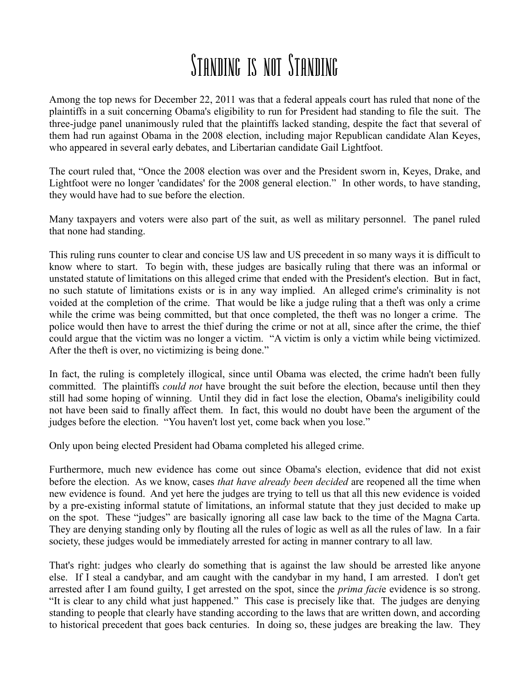## Standing is not Standing

Among the top news for December 22, 2011 was that a federal appeals court has ruled that none of the plaintiffs in a suit concerning Obama's eligibility to run for President had standing to file the suit. The three-judge panel unanimously ruled that the plaintiffs lacked standing, despite the fact that several of them had run against Obama in the 2008 election, including major Republican candidate Alan Keyes, who appeared in several early debates, and Libertarian candidate Gail Lightfoot.

The court ruled that, "Once the 2008 election was over and the President sworn in, Keyes, Drake, and Lightfoot were no longer 'candidates' for the 2008 general election." In other words, to have standing, they would have had to sue before the election.

Many taxpayers and voters were also part of the suit, as well as military personnel. The panel ruled that none had standing.

This ruling runs counter to clear and concise US law and US precedent in so many ways it is difficult to know where to start. To begin with, these judges are basically ruling that there was an informal or unstated statute of limitations on this alleged crime that ended with the President's election. But in fact, no such statute of limitations exists or is in any way implied. An alleged crime's criminality is not voided at the completion of the crime. That would be like a judge ruling that a theft was only a crime while the crime was being committed, but that once completed, the theft was no longer a crime. The police would then have to arrest the thief during the crime or not at all, since after the crime, the thief could argue that the victim was no longer a victim. "A victim is only a victim while being victimized. After the theft is over, no victimizing is being done."

In fact, the ruling is completely illogical, since until Obama was elected, the crime hadn't been fully committed. The plaintiffs *could not* have brought the suit before the election, because until then they still had some hoping of winning. Until they did in fact lose the election, Obama's ineligibility could not have been said to finally affect them. In fact, this would no doubt have been the argument of the judges before the election. "You haven't lost yet, come back when you lose."

Only upon being elected President had Obama completed his alleged crime.

Furthermore, much new evidence has come out since Obama's election, evidence that did not exist before the election. As we know, cases *that have already been decided* are reopened all the time when new evidence is found. And yet here the judges are trying to tell us that all this new evidence is voided by a pre-existing informal statute of limitations, an informal statute that they just decided to make up on the spot. These "judges" are basically ignoring all case law back to the time of the Magna Carta. They are denying standing only by flouting all the rules of logic as well as all the rules of law. In a fair society, these judges would be immediately arrested for acting in manner contrary to all law.

That's right: judges who clearly do something that is against the law should be arrested like anyone else. If I steal a candybar, and am caught with the candybar in my hand, I am arrested. I don't get arrested after I am found guilty, I get arrested on the spot, since the *prima faci*e evidence is so strong. "It is clear to any child what just happened." This case is precisely like that. The judges are denying standing to people that clearly have standing according to the laws that are written down, and according to historical precedent that goes back centuries. In doing so, these judges are breaking the law. They